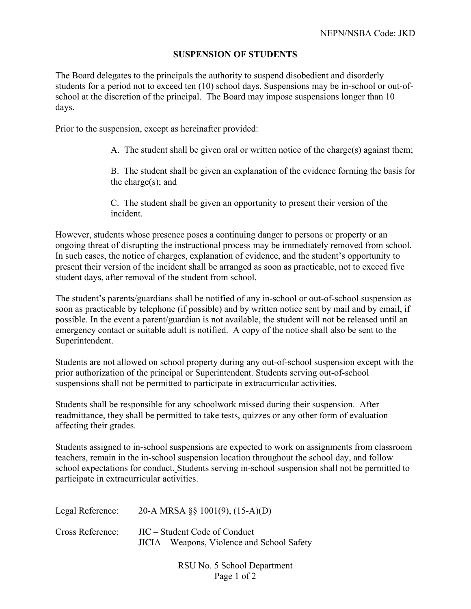## **SUSPENSION OF STUDENTS**

The Board delegates to the principals the authority to suspend disobedient and disorderly students for a period not to exceed ten (10) school days. Suspensions may be in-school or out-ofschool at the discretion of the principal. The Board may impose suspensions longer than 10 days.

Prior to the suspension, except as hereinafter provided:

A. The student shall be given oral or written notice of the charge(s) against them;

B. The student shall be given an explanation of the evidence forming the basis for the charge(s); and

C. The student shall be given an opportunity to present their version of the incident.

However, students whose presence poses a continuing danger to persons or property or an ongoing threat of disrupting the instructional process may be immediately removed from school. In such cases, the notice of charges, explanation of evidence, and the student's opportunity to present their version of the incident shall be arranged as soon as practicable, not to exceed five student days, after removal of the student from school.

The student's parents/guardians shall be notified of any in-school or out-of-school suspension as soon as practicable by telephone (if possible) and by written notice sent by mail and by email, if possible. In the event a parent/guardian is not available, the student will not be released until an emergency contact or suitable adult is notified. A copy of the notice shall also be sent to the Superintendent.

Students are not allowed on school property during any out-of-school suspension except with the prior authorization of the principal or Superintendent. Students serving out-of-school suspensions shall not be permitted to participate in extracurricular activities.

Students shall be responsible for any schoolwork missed during their suspension. After readmittance, they shall be permitted to take tests, quizzes or any other form of evaluation affecting their grades.

Students assigned to in-school suspensions are expected to work on assignments from classroom teachers, remain in the in-school suspension location throughout the school day, and follow school expectations for conduct. Students serving in-school suspension shall not be permitted to participate in extracurricular activities.

| Legal Reference: | 20-A MRSA §§ 1001(9), $(15-A)(D)$           |
|------------------|---------------------------------------------|
| Cross Reference: | JIC – Student Code of Conduct               |
|                  | JICIA – Weapons, Violence and School Safety |

RSU No. 5 School Department Page 1 of 2